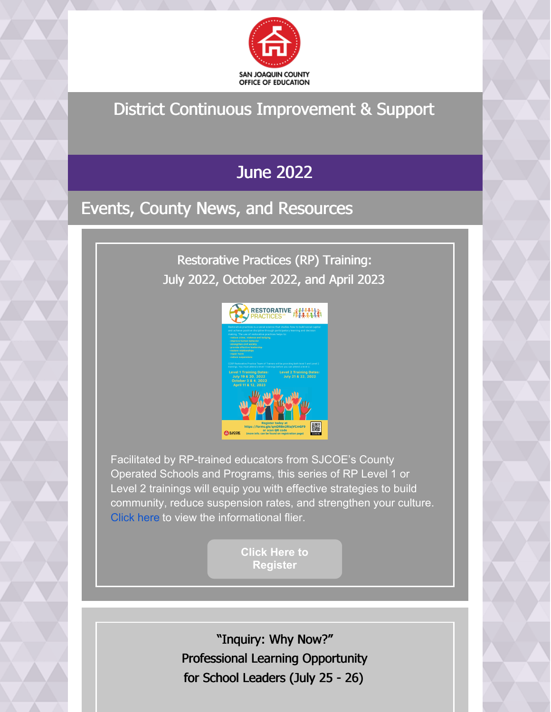

## District Continuous Improvement & Support

## June 2022

## Events, County News, and Resources

Restorative Practices (RP) Training: July 2022, October 2022, and April 2023



Facilitated by RP-trained educators from SJCOE's County Operated Schools and Programs, this series of RP Level 1 or Level 2 trainings will equip you with effective strategies to build community, reduce suspension rates, and strengthen your culture. [Click](https://drive.google.com/file/d/16neDk1h23vblvSDhfQs_4vpEr-rzdajl/view?usp=sharing) here to view the informational flier.

> **Click Here to [Register](https://docs.google.com/forms/d/e/1FAIpQLScm5iwEko1kNoySaq1f8zSflfXCQbU_NZCeYzr95WaE2CvJ0A/viewform)**

"Inquiry: Why Now?" Professional Learning Opportunity for School Leaders (July 25 - 26)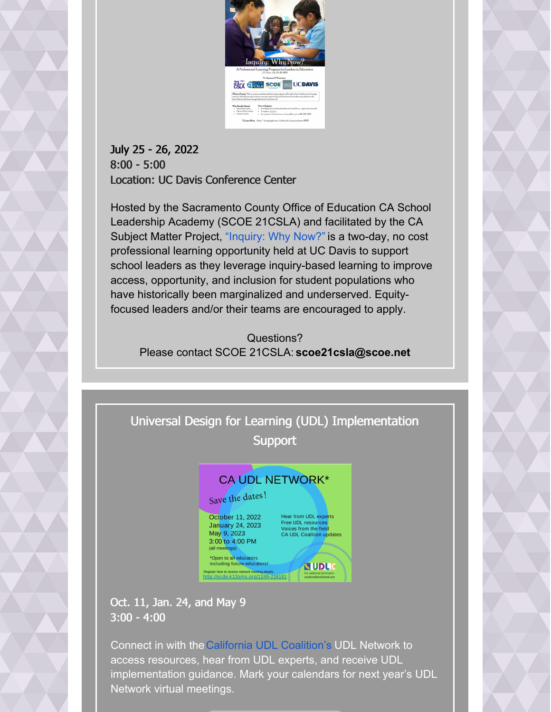

#### July 25 - 26, 2022 8:00 - 5:00 Location: UC Davis Conference Center

Hosted by the Sacramento County Office of Education CA School Leadership Academy (SCOE 21CSLA) and facilitated by the CA Subject Matter Project, ["Inquiry:](https://nam02.safelinks.protection.outlook.com/?url=https%3A%2F%2Fr20.rs6.net%2Ftn.jsp%3Ff%3D001UgJbwUk-oIxhEgec7axv_nMb34hRKATQNpTEuP9llpb4ZkcwyAHs1QNUI5l9YhmU4XRh_kxpEtYjmOYeSojqiVE8lOFSU8ez-X2rQ0du86KVi_fRDjRHWbz-uZK7b5yoYmyYeLOe_sAs8dF0WIbVd4IwLnQ4TrlK_hH85zOHtanR0EMFM_huo3ebMinK0CWm9vg3w4Nur9uphxJJJoSf4Q2zXJrkwxWnwv-Gfsjjq70%3D%26c%3DE6fhsu9gk-0XSJCixjGIHW1aOHC3s-0PlS8B4vXQii44eS2PjsBSTg%3D%3D%26ch%3Dv60lugi6XIIPz58p0cZ9Q7QF8KEtiPmMpy2Hcp7OSgsFIQT6wreNnQ%3D%3D&data=05%7C01%7Csglusing%40sjcoe.net%7C6e58029f63524bfaf67808da496d8f3a%7Cc4e0a5ab1f544f68831f1c8ff06e46e9%7C0%7C0%7C637903032152339859%7CUnknown%7CTWFpbGZsb3d8eyJWIjoiMC4wLjAwMDAiLCJQIjoiV2luMzIiLCJBTiI6Ik1haWwiLCJXVCI6Mn0%3D%7C3000%7C%7C%7C&sdata=I%2BmJuEzvOf02Bcvu2eBdKLdttwzxx7UfOUzJ17SzOHE%3D&reserved=0) Why Now?" is a two-day, no cost professional learning opportunity held at UC Davis to support school leaders as they leverage inquiry-based learning to improve access, opportunity, and inclusion for student populations who have historically been marginalized and underserved. Equityfocused leaders and/or their teams are encouraged to apply.

Questions? Please contact SCOE 21CSLA: **scoe21csla@scoe.net**

### Universal Design for Learning (UDL) Implementation **Support**



Oct. 11, Jan. 24, and May 9 3:00 - 4:00

Connect in with theCalifornia UDL [Coalition's](https://ocde.us/MTSS/Pages/CA-UDL-Coalition.aspx) UDL Network to access resources, hear from UDL experts, and receive UDL implementation guidance. Mark your calendars for next year's UDL Network virtual meetings.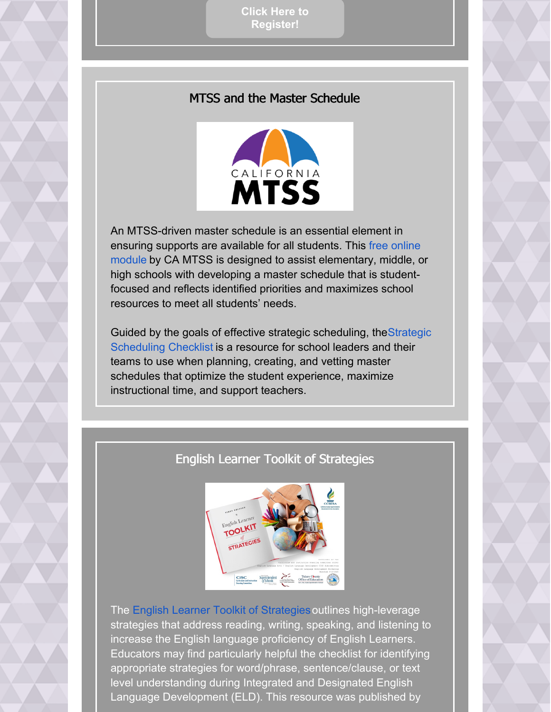**Click Here to [Register!](https://ocde.us/MTSS/Documents/CA UDL Flyer-save the date 22-23.pdf)**

#### MTSS and the Master Schedule



An MTSS-driven master schedule is an essential element in ensuring supports are available for all students. This free online module by CA MTSS is designed to assist [elementary,](https://nam02.safelinks.protection.outlook.com/?url=https%3A%2F%2Fccee-ca.us11.list-manage.com%2Ftrack%2Fclick%3Fu%3D015e72597d0e2d55ddfd9fc22%26id%3D1bdb3dc0d5%26e%3D2460433da9&data=05%7C01%7Csglusing%40sjcoe.net%7C04319bfdfdff48df094808da4572a458%7Cc4e0a5ab1f544f68831f1c8ff06e46e9%7C0%7C0%7C637898656385832812%7CUnknown%7CTWFpbGZsb3d8eyJWIjoiMC4wLjAwMDAiLCJQIjoiV2luMzIiLCJBTiI6Ik1haWwiLCJXVCI6Mn0%3D%7C3000%7C%7C%7C&sdata=GAoWg5%2Fsjm%2BSk3JViW5rh1UL%2BBPHFsG%2BAC7RasZlES0%3D&reserved=0) middle, or high schools with developing a master schedule that is studentfocused and reflects identified priorities and maximizes school resources to meet all students' needs.

Guided by the goals of effective strategic scheduling, [theStrategic](https://www.erstrategies.org/cms/files/3618-20-school-design-scheduling-checklist-pdf.pdf) Scheduling Checklist is a resource for school leaders and their teams to use when planning, creating, and vetting master schedules that optimize the student experience, maximize instructional time, and support teachers.

#### English Learner Toolkit of Strategies



Th[e](https://nam02.safelinks.protection.outlook.com/?url=https%3A%2F%2Fccee-ca.us11.list-manage.com%2Ftrack%2Fclick%3Fu%3D015e72597d0e2d55ddfd9fc22%26id%3D3f1d81f4be%26e%3D2460433da9&data=05%7C01%7Csglusing%40sjcoe.net%7Ce5200a1734874ec39c7f08da3a7193a8%7Cc4e0a5ab1f544f68831f1c8ff06e46e9%7C0%7C0%7C637886557613893131%7CUnknown%7CTWFpbGZsb3d8eyJWIjoiMC4wLjAwMDAiLCJQIjoiV2luMzIiLCJBTiI6Ik1haWwiLCJXVCI6Mn0%3D%7C3000%7C%7C%7C&sdata=mX6NkapoBLkxnORcXbv5o3KQuu%2FY2gbP6Pg45ufK1bA%3D&reserved=0) English Learner Toolkit of [Strategies](https://nam02.safelinks.protection.outlook.com/?url=https%3A%2F%2Fccee-ca.us11.list-manage.com%2Ftrack%2Fclick%3Fu%3D015e72597d0e2d55ddfd9fc22%26id%3D3f1d81f4be%26e%3D2460433da9&data=05%7C01%7Csglusing%40sjcoe.net%7Ce5200a1734874ec39c7f08da3a7193a8%7Cc4e0a5ab1f544f68831f1c8ff06e46e9%7C0%7C0%7C637886557613893131%7CUnknown%7CTWFpbGZsb3d8eyJWIjoiMC4wLjAwMDAiLCJQIjoiV2luMzIiLCJBTiI6Ik1haWwiLCJXVCI6Mn0%3D%7C3000%7C%7C%7C&sdata=mX6NkapoBLkxnORcXbv5o3KQuu%2FY2gbP6Pg45ufK1bA%3D&reserved=0)outlines high-leverage strategies that address reading, writing, speaking, and listening to increase the English language proficiency of English Learners. Educators may find particularly helpful the checklist for identifying appropriate strategies for word/phrase, sentence/clause, or text level understanding during Integrated and Designated English Language Development (ELD). This resource was published by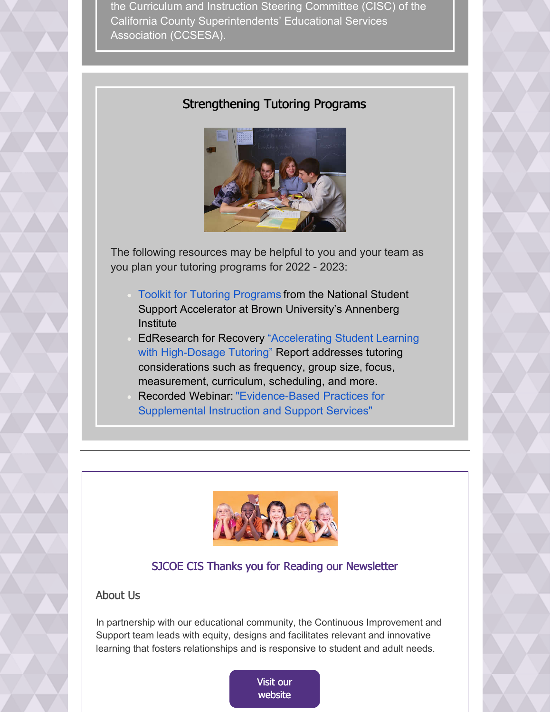the Curriculum and Instruction Steering Committee (CISC) of the California County Superintendents' Educational Services Association (CCSESA).

#### Strengthening Tutoring Programs



The following resources may be helpful to you and your team as you plan your tutoring programs for 2022 - 2023:

- Toolkit for Tutoring [Programs](https://nam02.safelinks.protection.outlook.com/?url=https%3A%2F%2Fccee-ca.us11.list-manage.com%2Ftrack%2Fclick%3Fu%3D015e72597d0e2d55ddfd9fc22%26id%3Db8a4bbb9f0%26e%3D2460433da9&data=05%7C01%7Csglusing%40sjcoe.net%7C1d676c9edb8a46ed643a08da4af21288%7Cc4e0a5ab1f544f68831f1c8ff06e46e9%7C0%7C0%7C637904701289578498%7CUnknown%7CTWFpbGZsb3d8eyJWIjoiMC4wLjAwMDAiLCJQIjoiV2luMzIiLCJBTiI6Ik1haWwiLCJXVCI6Mn0%3D%7C3000%7C%7C%7C&sdata=YLnkb9puWlJo5fDEMPUoVGJkikfjb2h7e%2BTQ8uOlez4%3D&reserved=0) from the National Student Support Accelerator at Brown University's Annenberg **Institute**
- EdResearch for Recovery "Accelerating Student Learning with [High-Dosage](https://nam02.safelinks.protection.outlook.com/?url=https%3A%2F%2Fccee-ca.us11.list-manage.com%2Ftrack%2Fclick%3Fu%3D015e72597d0e2d55ddfd9fc22%26id%3D6ce105bd53%26e%3D2460433da9&data=05%7C01%7Csglusing%40sjcoe.net%7C1d676c9edb8a46ed643a08da4af21288%7Cc4e0a5ab1f544f68831f1c8ff06e46e9%7C0%7C0%7C637904701289578498%7CUnknown%7CTWFpbGZsb3d8eyJWIjoiMC4wLjAwMDAiLCJQIjoiV2luMzIiLCJBTiI6Ik1haWwiLCJXVCI6Mn0%3D%7C3000%7C%7C%7C&sdata=Gw5Z8LOzOi356TxyVP57BXXmJQljpO4GK%2F2jBcOuU3I%3D&reserved=0) Tutoring["](https://nam02.safelinks.protection.outlook.com/?url=https%3A%2F%2Fccee-ca.us11.list-manage.com%2Ftrack%2Fclick%3Fu%3D015e72597d0e2d55ddfd9fc22%26id%3D6ce105bd53%26e%3D2460433da9&data=05%7C01%7Csglusing%40sjcoe.net%7C1d676c9edb8a46ed643a08da4af21288%7Cc4e0a5ab1f544f68831f1c8ff06e46e9%7C0%7C0%7C637904701289578498%7CUnknown%7CTWFpbGZsb3d8eyJWIjoiMC4wLjAwMDAiLCJQIjoiV2luMzIiLCJBTiI6Ik1haWwiLCJXVCI6Mn0%3D%7C3000%7C%7C%7C&sdata=Gw5Z8LOzOi356TxyVP57BXXmJQljpO4GK%2F2jBcOuU3I%3D&reserved=0) Report addresses tutoring considerations such as frequency, group size, focus, measurement, curriculum, scheduling, and more.
- Recorded Webinar: ["Evidence-Based](https://nam02.safelinks.protection.outlook.com/?url=https%3A%2F%2Fccee-ca.us11.list-manage.com%2Ftrack%2Fclick%3Fu%3D015e72597d0e2d55ddfd9fc22%26id%3D83676ced15%26e%3D2460433da9&data=05%7C01%7Csglusing%40sjcoe.net%7C1d676c9edb8a46ed643a08da4af21288%7Cc4e0a5ab1f544f68831f1c8ff06e46e9%7C0%7C0%7C637904701289578498%7CUnknown%7CTWFpbGZsb3d8eyJWIjoiMC4wLjAwMDAiLCJQIjoiV2luMzIiLCJBTiI6Ik1haWwiLCJXVCI6Mn0%3D%7C3000%7C%7C%7C&sdata=L6BuO8Wyo6dWrNgZs7G7BMqcHhWHAH82ibRi83cI%2F2k%3D&reserved=0) Practices for Supplemental Instruction and Support Services"



#### SJCOE CIS Thanks you for Reading our Newsletter

#### About Us

In partnership with our educational community, the Continuous Improvement and Support team leads with equity, designs and facilitates relevant and innovative learning that fosters relationships and is responsive to student and adult needs.

> Visit our [website](https://www.sjcoe.org/CIS/)